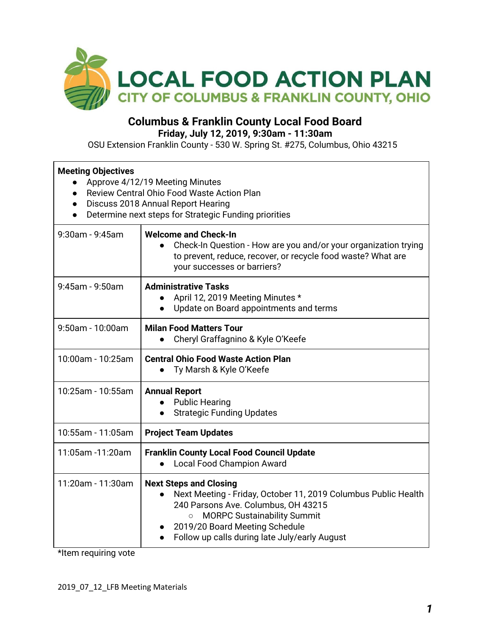

## **Columbus & Franklin County Local Food Board Friday, July 12, 2019, 9:30am - 11:30am**

OSU Extension Franklin County - 530 W. Spring St. #275, Columbus, Ohio 43215

| <b>Meeting Objectives</b><br>Approve 4/12/19 Meeting Minutes<br>$\bullet$<br>Review Central Ohio Food Waste Action Plan<br>$\bullet$<br>Discuss 2018 Annual Report Hearing<br>$\bullet$<br>Determine next steps for Strategic Funding priorities<br>$\bullet$ |                                                                                                                                                                                                                                                                                         |  |  |
|---------------------------------------------------------------------------------------------------------------------------------------------------------------------------------------------------------------------------------------------------------------|-----------------------------------------------------------------------------------------------------------------------------------------------------------------------------------------------------------------------------------------------------------------------------------------|--|--|
| $9:30$ am - $9:45$ am                                                                                                                                                                                                                                         | <b>Welcome and Check-In</b><br>Check-In Question - How are you and/or your organization trying<br>to prevent, reduce, recover, or recycle food waste? What are<br>your successes or barriers?                                                                                           |  |  |
| $9:45$ am - $9:50$ am                                                                                                                                                                                                                                         | <b>Administrative Tasks</b><br>April 12, 2019 Meeting Minutes *<br>Update on Board appointments and terms                                                                                                                                                                               |  |  |
| 9:50am - 10:00am                                                                                                                                                                                                                                              | <b>Milan Food Matters Tour</b><br>Cheryl Graffagnino & Kyle O'Keefe                                                                                                                                                                                                                     |  |  |
| 10:00am - 10:25am                                                                                                                                                                                                                                             | <b>Central Ohio Food Waste Action Plan</b><br>Ty Marsh & Kyle O'Keefe                                                                                                                                                                                                                   |  |  |
| 10:25am - 10:55am                                                                                                                                                                                                                                             | <b>Annual Report</b><br><b>Public Hearing</b><br><b>Strategic Funding Updates</b><br>$\bullet$                                                                                                                                                                                          |  |  |
| 10:55am - 11:05am                                                                                                                                                                                                                                             | <b>Project Team Updates</b>                                                                                                                                                                                                                                                             |  |  |
| 11:05am -11:20am                                                                                                                                                                                                                                              | <b>Franklin County Local Food Council Update</b><br><b>Local Food Champion Award</b>                                                                                                                                                                                                    |  |  |
| 11:20am - 11:30am                                                                                                                                                                                                                                             | <b>Next Steps and Closing</b><br>Next Meeting - Friday, October 11, 2019 Columbus Public Health<br>240 Parsons Ave. Columbus, OH 43215<br><b>MORPC Sustainability Summit</b><br>$\circ$<br>2019/20 Board Meeting Schedule<br>$\bullet$<br>Follow up calls during late July/early August |  |  |

\*Item requiring vote